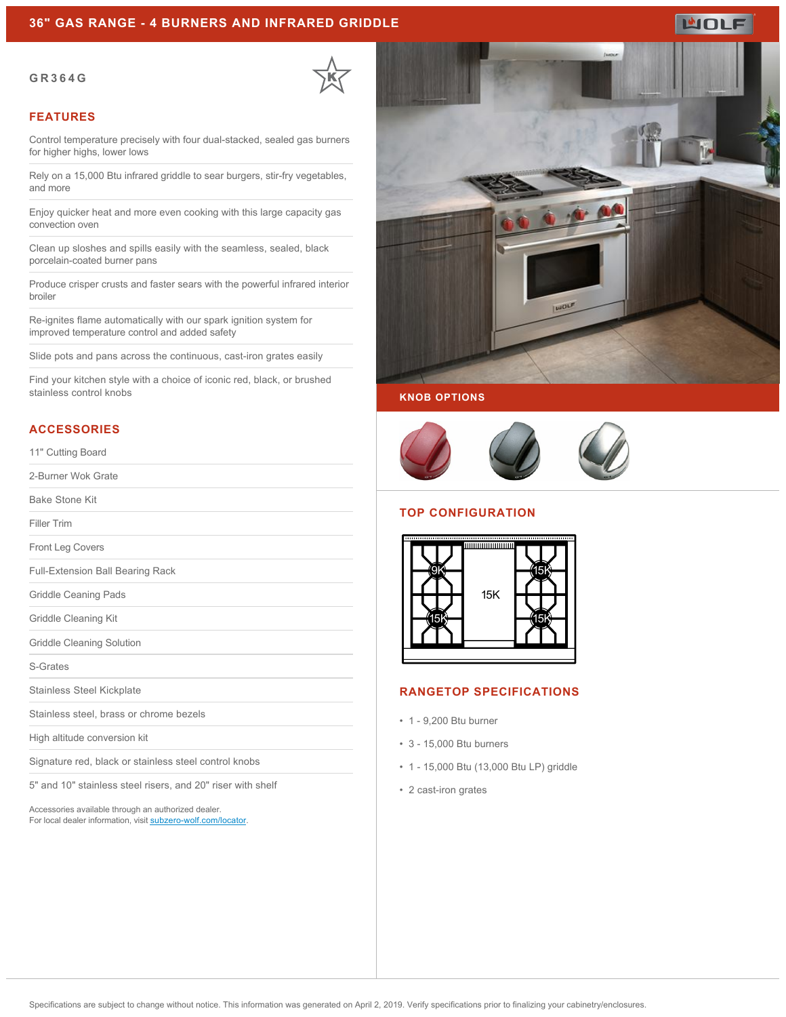#### **36" GAS RANGE - 4 BURNERS AND INFRARED GRIDDLE**

#### **GR364G**



#### **FEATURES**

Control temperature precisely with four dual-stacked, sealed gas burners for higher highs, lower lows

Rely on a 15,000 Btu infrared griddle to sear burgers, stir-fry vegetables, and more

Enjoy quicker heat and more even cooking with this large capacity gas convection oven

Clean up sloshes and spills easily with the seamless, sealed, black porcelain-coated burner pans

Produce crisper crusts and faster sears with the powerful infrared interior broiler

Re-ignites flame automatically with our spark ignition system for improved temperature control and added safety

Slide pots and pans across the continuous, cast-iron grates easily

Find your kitchen style with a choice of iconic red, black, or brushed stainless control knobs

#### **ACCESSORIES**

11" Cutting Board

2-Burner Wok Grate

Bake Stone Kit

Filler Trim

Front Leg Covers

Full-Extension Ball Bearing Rack

Griddle Ceaning Pads

Griddle Cleaning Kit

Griddle Cleaning Solution

S-Grates

Stainless Steel Kickplate

Stainless steel, brass or chrome bezels

High altitude conversion kit

Signature red, black or stainless steel control knobs

5" and 10" stainless steel risers, and 20" riser with shelf

Accessories available through an authorized dealer. For local dealer information, visit [subzero-wolf.com/locator.](http://www.subzero-wolf.com/locator)



**WOLF** 

**KNOB OPTIONS**



#### **TOP CONFIGURATION**



### **RANGETOP SPECIFICATIONS**

- 1 9,200 Btu burner
- 3 15,000 Btu burners
- 1 15,000 Btu (13,000 Btu LP) griddle
- 2 cast-iron grates